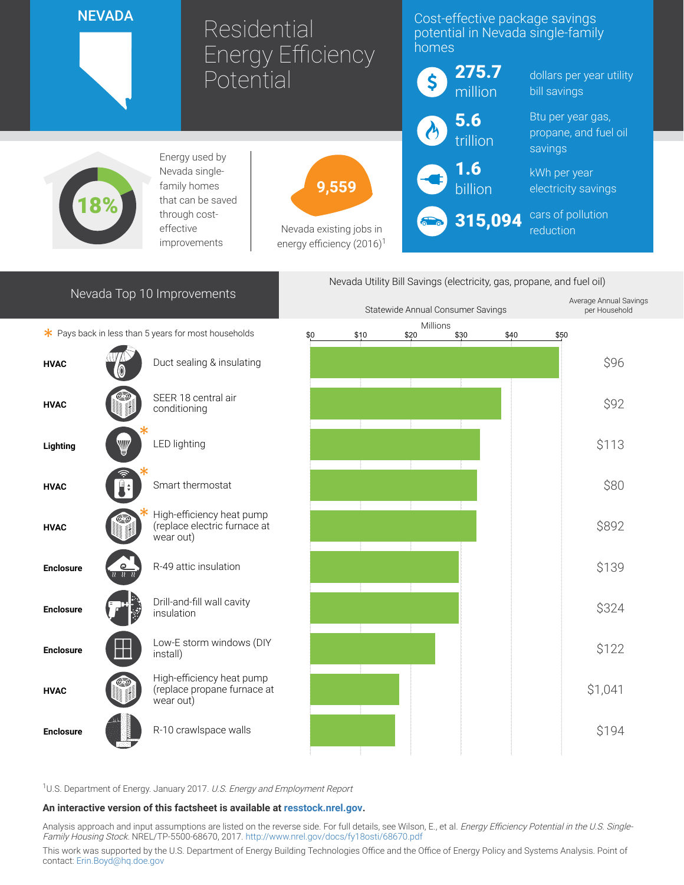|                                                                                                   | <b>NEVADA</b><br>Residential |                                                                        | <b>Energy Efficiency</b>                                         |                        | Cost-effective package savings<br>potential in Nevada single-family<br>homes |                 |                                          |                                            |  |
|---------------------------------------------------------------------------------------------------|------------------------------|------------------------------------------------------------------------|------------------------------------------------------------------|------------------------|------------------------------------------------------------------------------|-----------------|------------------------------------------|--------------------------------------------|--|
| Potential                                                                                         |                              |                                                                        |                                                                  | 275.7<br>\$<br>million |                                                                              |                 | dollars per year utility<br>bill savings |                                            |  |
|                                                                                                   |                              |                                                                        |                                                                  |                        |                                                                              | 5.6<br>trillion |                                          | Btu per year gas,<br>propane, and fuel oil |  |
|                                                                                                   |                              | Energy used by                                                         |                                                                  |                        |                                                                              | 1.6             | savings                                  |                                            |  |
| Nevada single-<br>family homes<br>that can be saved<br>through cost-<br>effective<br>improvements |                              |                                                                        | 9,559                                                            |                        | billion                                                                      |                 |                                          | kWh per year<br>electricity savings        |  |
|                                                                                                   |                              |                                                                        | Nevada existing jobs in<br>energy efficiency (2016) <sup>1</sup> |                        | $\delta$ to $\delta$                                                         | 315,094         | cars of pollution<br>reduction           |                                            |  |
| Nevada Utility Bill Savings (electricity, gas, propane, and fuel oil)                             |                              |                                                                        |                                                                  |                        |                                                                              |                 |                                          |                                            |  |
| Nevada Top 10 Improvements                                                                        |                              |                                                                        | Statewide Annual Consumer Savings                                |                        |                                                                              |                 | Average Annual Savings<br>per Household  |                                            |  |
|                                                                                                   |                              | * Pays back in less than 5 years for most households                   | \$0                                                              | \$10                   | Millions<br>\$20                                                             | \$40<br>\$30    | \$50                                     |                                            |  |
| <b>HVAC</b>                                                                                       |                              | Duct sealing & insulating                                              |                                                                  |                        |                                                                              |                 |                                          | \$96                                       |  |
| <b>HVAC</b>                                                                                       |                              | SEER 18 central air<br>conditioning                                    |                                                                  |                        |                                                                              |                 |                                          | \$92                                       |  |
| Lighting                                                                                          | ₩                            | <b>LED lighting</b>                                                    |                                                                  |                        |                                                                              |                 |                                          | \$113                                      |  |
| <b>HVAC</b>                                                                                       |                              | Smart thermostat                                                       |                                                                  |                        |                                                                              |                 |                                          | \$80                                       |  |
| <b>HVAC</b>                                                                                       |                              | High-efficiency heat pump<br>(replace electric furnace at<br>wear out) |                                                                  |                        |                                                                              |                 |                                          | \$892                                      |  |
| <b>Enclosure</b>                                                                                  |                              | R-49 attic insulation                                                  |                                                                  |                        |                                                                              |                 |                                          | \$139                                      |  |
| <b>Enclosure</b>                                                                                  |                              | Drill-and-fill wall cavity<br>insulation                               |                                                                  |                        |                                                                              |                 |                                          | \$324                                      |  |
| <b>Enclosure</b>                                                                                  |                              | Low-E storm windows (DIY<br>install)                                   |                                                                  |                        |                                                                              |                 |                                          | \$122                                      |  |
| <b>HVAC</b>                                                                                       |                              | High-efficiency heat pump<br>(replace propane furnace at<br>wear out)  |                                                                  |                        |                                                                              |                 |                                          | \$1,041                                    |  |
| <b>Enclosure</b>                                                                                  |                              | R-10 crawlspace walls                                                  |                                                                  |                        |                                                                              |                 |                                          | \$194                                      |  |

<sup>1</sup>U.S. Department of Energy. January 2017. U.S. Energy and Employment Report

## An interactive version of this factsheet is available at [resstock.nrel.gov.](https://resstock.nrel.gov/)

Analysis approach and input assumptions are listed on the reverse side. For full details, see Wilson, E., et al. *Energy Efficiency Potential in the U.S. Single*-Family Housing Stock. NREL/TP-5500-68670, 2017. <http://www.nrel.gov/docs/fy18osti/68670.pdf>

This work was supported by the U.S. Department of Energy Building Technologies Office and the Office of Energy Policy and Systems Analysis. Point of contact: [Erin.Boyd@hq.doe.gov](mailto:Erin.Boyd@hq.doe.gov)